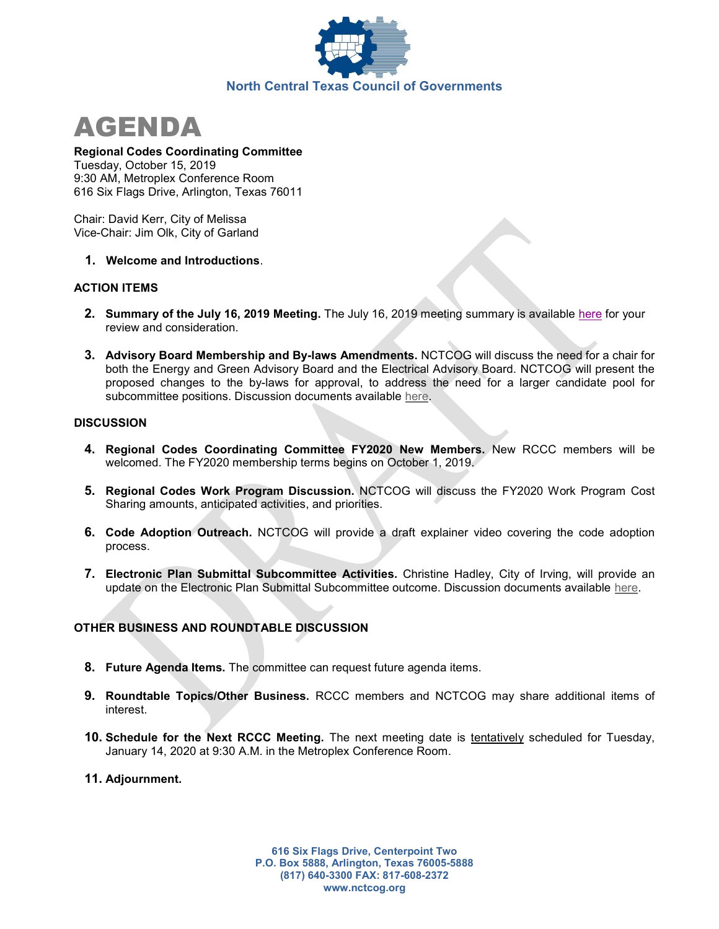



#### Regional Codes Coordinating Committee Tuesday, October 15, 2019 9:30 AM, Metroplex Conference Room 616 Six Flags Drive, Arlington, Texas 76011

Chair: David Kerr, City of Melissa Vice-Chair: Jim Olk, City of Garland

## 1. Welcome and Introductions.

## ACTION ITEMS

- 2. Summary of the July 16, 2019 Meeting. The July 16, 2019 meeting summary is available here for your review and consideration.
- 3. Advisory Board Membership and By-laws Amendments. NCTCOG will discuss the need for a chair for both the Energy and Green Advisory Board and the Electrical Advisory Board. NCTCOG will present the proposed changes to the by-laws for approval, to address the need for a larger candidate pool for subcommittee positions. Discussion documents available here.

#### **DISCUSSION**

- 4. Regional Codes Coordinating Committee FY2020 New Members. New RCCC members will be welcomed. The FY2020 membership terms begins on October 1, 2019.
- 5. Regional Codes Work Program Discussion. NCTCOG will discuss the FY2020 Work Program Cost Sharing amounts, anticipated activities, and priorities.
- 6. Code Adoption Outreach. NCTCOG will provide a draft explainer video covering the code adoption process.
- 7. Electronic Plan Submittal Subcommittee Activities. Christine Hadley, City of Irving, will provide an update on the Electronic Plan Submittal Subcommittee outcome. Discussion documents available here.

# OTHER BUSINESS AND ROUNDTABLE DISCUSSION

- 8. Future Agenda Items. The committee can request future agenda items.
- 9. Roundtable Topics/Other Business. RCCC members and NCTCOG may share additional items of interest.
- 10. Schedule for the Next RCCC Meeting. The next meeting date is tentatively scheduled for Tuesday, January 14, 2020 at 9:30 A.M. in the Metroplex Conference Room.
- 11. Adjournment.

616 Six Flags Drive, Centerpoint Two P.O. Box 5888, Arlington, Texas 76005-5888 (817) 640-3300 FAX: 817-608-2372 www.nctcog.org